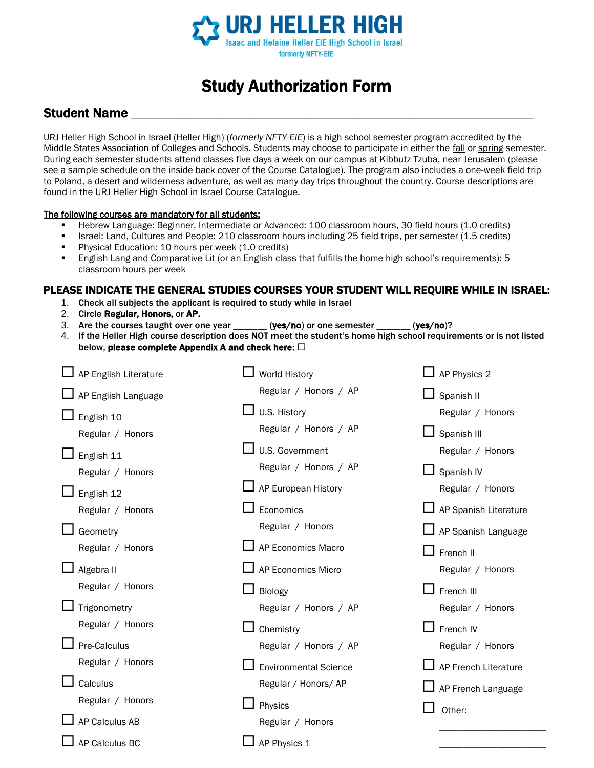

# Study Authorization Form

### **Student Name**

URJ Heller High School in Israel (Heller High) (*formerly NFTY-EIE*) is a high school semester program accredited by the Middle States Association of Colleges and Schools. Students may choose to participate in either the fall or spring semester. During each semester students attend classes five days a week on our campus at Kibbutz Tzuba, near Jerusalem (please see a sample schedule on the inside back cover of the Course Catalogue). The program also includes a one-week field trip to Poland, a desert and wilderness adventure, as well as many day trips throughout the country. Course descriptions are found in the URJ Heller High School in Israel Course Catalogue.

#### The following courses are mandatory for all students:

- Hebrew Language: Beginner, Intermediate or Advanced: 100 classroom hours, 30 field hours (1.0 credits)
- Israel: Land, Cultures and People: 210 classroom hours including 25 field trips, per semester (1.5 credits)
- **•** Physical Education: 10 hours per week (1.0 credits)
- English Lang and Comparative Lit (or an English class that fulfills the home high school's requirements): 5 classroom hours per week

#### PLEASE INDICATE THE GENERAL STUDIES COURSES YOUR STUDENT WILL REQUIRE WHILE IN ISRAEL:

- 1. Check all subjects the applicant is required to study while in Israel
- 2. Circle Regular, Honors, or AP.
- 3. Are the courses taught over one year \_\_\_\_\_\_ (yes/no) or one semester \_\_\_\_\_\_ (yes/no)?
- 4. If the Heller High course description does NOT meet the student's home high school requirements or is not listed below, please complete Appendix A and check here:  $\Box$

| AP English Literature | <b>World History</b>         | AP Physics 2          |
|-----------------------|------------------------------|-----------------------|
| AP English Language   | Regular / Honors / AP        | Spanish II            |
| English 10            | U.S. History                 | Regular / Honors      |
| Regular / Honors      | Regular / Honors / AP        | Spanish III           |
| English 11            | U.S. Government              | Regular / Honors      |
| Regular / Honors      | Regular / Honors / AP        | Spanish IV            |
| English 12            | AP European History          | Regular / Honors      |
| Regular / Honors      | Economics                    | AP Spanish Literature |
| Geometry              | Regular / Honors             | AP Spanish Language   |
| Regular / Honors      | AP Economics Macro           | French II             |
| Algebra II            | AP Economics Micro           | Regular / Honors      |
| Regular / Honors      | Biology                      | French III            |
| Trigonometry          | Regular / Honors / AP        | Regular / Honors      |
|                       |                              |                       |
| Regular / Honors      | Chemistry                    | French IV             |
| Pre-Calculus          | Regular / Honors / AP        | Regular / Honors      |
| Regular / Honors      | <b>Environmental Science</b> | AP French Literature  |
| Calculus              | Regular / Honors/ AP         |                       |
| Regular / Honors      | Physics                      | AP French Language    |
| AP Calculus AB        | Regular / Honors             | Other:                |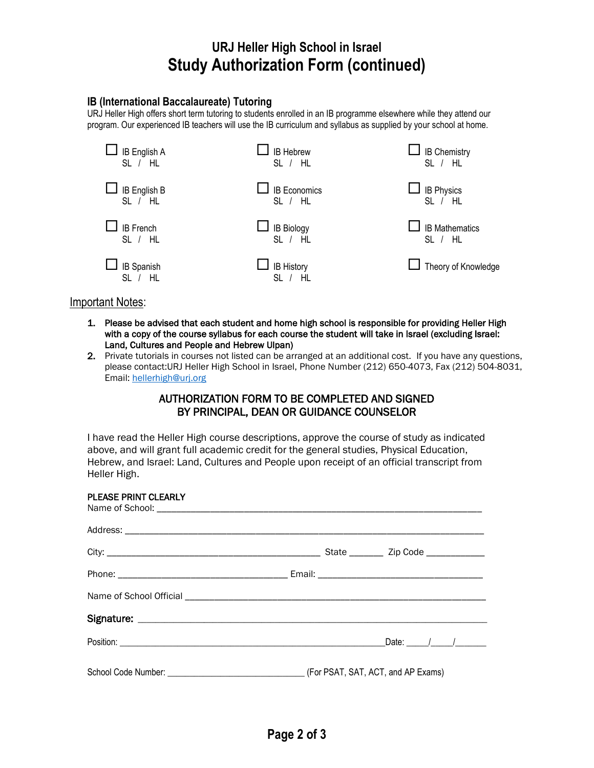## **URJ Heller High School in Israel Study Authorization Form (continued)**

### **IB (International Baccalaureate) Tutoring**

URJ Heller High offers short term tutoring to students enrolled in an IB programme elsewhere while they attend our program. Our experienced IB teachers will use the IB curriculum and syllabus as supplied by your school at home.



Important Notes:

- 1. Please be advised that each student and home high school is responsible for providing Heller High with a copy of the course syllabus for each course the student will take in Israel (excluding Israel: Land, Cultures and People and Hebrew Ulpan)
- 2. Private tutorials in courses not listed can be arranged at an additional cost. If you have any questions, please contact:URJ Heller High School in Israel, Phone Number (212) 650-4073, Fax (212) 504-8031, Email:<hellerhigh@urj.org>

### AUTHORIZATION FORM TO BE COMPLETED AND SIGNED BY PRINCIPAL, DEAN OR GUIDANCE COUNSELOR

I have read the Heller High course descriptions, approve the course of study as indicated above, and will grant full academic credit for the general studies, Physical Education, Hebrew, and Israel: Land, Cultures and People upon receipt of an official transcript from Heller High.

| PLEASE PRINT CLEARLY |  |  |
|----------------------|--|--|
|                      |  |  |
|                      |  |  |
|                      |  |  |
|                      |  |  |
|                      |  |  |
|                      |  |  |
|                      |  |  |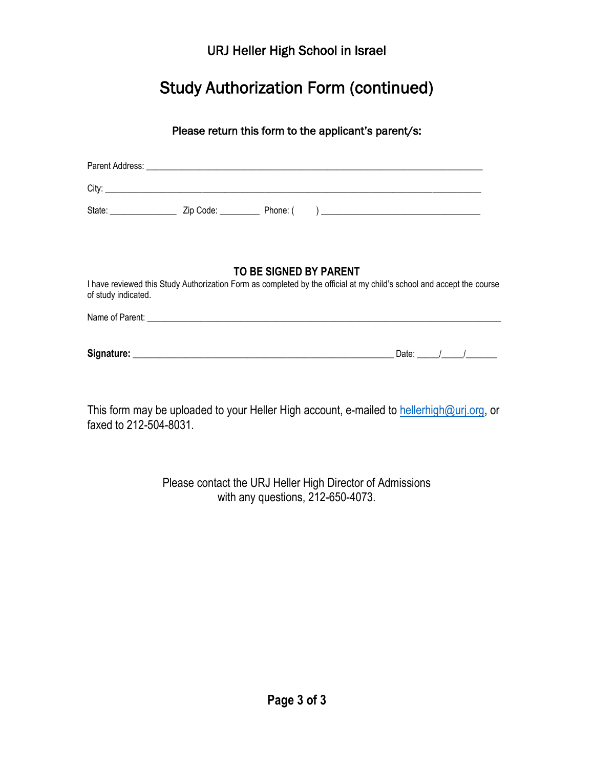URJ Heller High School in Israel

# Study Authorization Form (continued)

### Please return this form to the applicant's parent/s:

|                     | TO BE SIGNED BY PARENT | I have reviewed this Study Authorization Form as completed by the official at my child's school and accept the course |
|---------------------|------------------------|-----------------------------------------------------------------------------------------------------------------------|
| of study indicated. |                        |                                                                                                                       |
|                     |                        |                                                                                                                       |
|                     |                        |                                                                                                                       |

**Signature:** \_\_\_\_\_\_\_\_\_\_\_\_\_\_\_\_\_\_\_\_\_\_\_\_\_\_\_\_\_\_\_\_\_\_\_\_\_\_\_\_\_\_\_\_\_\_\_\_\_\_\_\_\_\_\_\_\_\_\_ Date: \_\_\_\_\_/\_\_\_\_\_/\_\_\_\_\_\_\_

This form may be uploaded to your Heller High account, e-mailed to [hellerhigh@urj.org,](hellerhigh@urj.org) or faxed to 212-504-8031.

> Please contact the URJ Heller High Director of Admissions with any questions, 212-650-4073.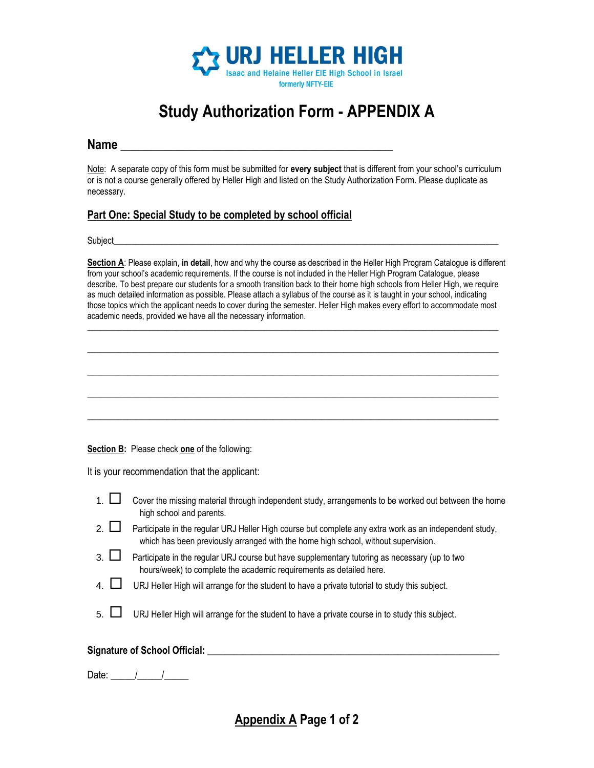

# **Study Authorization Form - APPENDIX A**

### **Name Name** *now <b>n now <b><i>n n n n n n n n n n n n n n*

Note: A separate copy of this form must be submitted for **every subject** that is different from your school's curriculum or is not a course generally offered by Heller High and listed on the Study Authorization Form. Please duplicate as necessary.

### **Part One: Special Study to be completed by school official**

Subject\_\_\_\_\_\_\_\_\_\_\_\_\_\_\_\_\_\_\_\_\_\_\_\_\_\_\_\_\_\_\_\_\_\_\_\_\_\_\_\_\_\_\_\_\_\_\_\_\_\_\_\_\_\_\_\_\_\_\_\_\_\_\_\_\_\_\_\_\_\_\_\_\_\_\_\_\_\_\_\_\_\_\_\_\_\_\_

**Section A**: Please explain, **in detail**, how and why the course as described in the Heller High Program Catalogue is different from your school's academic requirements. If the course is not included in the Heller High Program Catalogue, please describe. To best prepare our students for a smooth transition back to their home high schools from Heller High, we require as much detailed information as possible. Please attach a syllabus of the course as it is taught in your school, indicating those topics which the applicant needs to cover during the semester. Heller High makes every effort to accommodate most academic needs, provided we have all the necessary information.

 $\mathcal{L}_\mathcal{L} = \{ \mathcal{L}_\mathcal{L} = \{ \mathcal{L}_\mathcal{L} = \{ \mathcal{L}_\mathcal{L} = \{ \mathcal{L}_\mathcal{L} = \{ \mathcal{L}_\mathcal{L} = \{ \mathcal{L}_\mathcal{L} = \{ \mathcal{L}_\mathcal{L} = \{ \mathcal{L}_\mathcal{L} = \{ \mathcal{L}_\mathcal{L} = \{ \mathcal{L}_\mathcal{L} = \{ \mathcal{L}_\mathcal{L} = \{ \mathcal{L}_\mathcal{L} = \{ \mathcal{L}_\mathcal{L} = \{ \mathcal{L}_\mathcal{$ 

 $\mathcal{L}_\mathcal{L} = \{ \mathcal{L}_\mathcal{L} = \{ \mathcal{L}_\mathcal{L} = \{ \mathcal{L}_\mathcal{L} = \{ \mathcal{L}_\mathcal{L} = \{ \mathcal{L}_\mathcal{L} = \{ \mathcal{L}_\mathcal{L} = \{ \mathcal{L}_\mathcal{L} = \{ \mathcal{L}_\mathcal{L} = \{ \mathcal{L}_\mathcal{L} = \{ \mathcal{L}_\mathcal{L} = \{ \mathcal{L}_\mathcal{L} = \{ \mathcal{L}_\mathcal{L} = \{ \mathcal{L}_\mathcal{L} = \{ \mathcal{L}_\mathcal{$ 

 $\mathcal{L}_\mathcal{L} = \{ \mathcal{L}_\mathcal{L} = \{ \mathcal{L}_\mathcal{L} = \{ \mathcal{L}_\mathcal{L} = \{ \mathcal{L}_\mathcal{L} = \{ \mathcal{L}_\mathcal{L} = \{ \mathcal{L}_\mathcal{L} = \{ \mathcal{L}_\mathcal{L} = \{ \mathcal{L}_\mathcal{L} = \{ \mathcal{L}_\mathcal{L} = \{ \mathcal{L}_\mathcal{L} = \{ \mathcal{L}_\mathcal{L} = \{ \mathcal{L}_\mathcal{L} = \{ \mathcal{L}_\mathcal{L} = \{ \mathcal{L}_\mathcal{$ 

 $\Box$ 

 $\mathcal{L}_\mathcal{L} = \{ \mathcal{L}_\mathcal{L} = \{ \mathcal{L}_\mathcal{L} = \{ \mathcal{L}_\mathcal{L} = \{ \mathcal{L}_\mathcal{L} = \{ \mathcal{L}_\mathcal{L} = \{ \mathcal{L}_\mathcal{L} = \{ \mathcal{L}_\mathcal{L} = \{ \mathcal{L}_\mathcal{L} = \{ \mathcal{L}_\mathcal{L} = \{ \mathcal{L}_\mathcal{L} = \{ \mathcal{L}_\mathcal{L} = \{ \mathcal{L}_\mathcal{L} = \{ \mathcal{L}_\mathcal{L} = \{ \mathcal{L}_\mathcal{$ 

**Section B:** Please check **one** of the following:

It is your recommendation that the applicant:

| 1. $\Box$ Cover the missing material through independent study, arrangements to be worked out between the home |
|----------------------------------------------------------------------------------------------------------------|
| high school and parents.                                                                                       |

- 2.  $\Box$  Participate in the regular URJ Heller High course but complete any extra work as an independent study, which has been previously arranged with the home high school, without supervision.
- $3. \Box$  Participate in the regular URJ course but have supplementary tutoring as necessary (up to two hours/week) to complete the academic requirements as detailed here.
- 4. URJ Heller High will arrange for the student to have a private tutorial to study this subject.
- 5. URJ Heller High will arrange for the student to have a private course in to study this subject.

### Signature of School Official: **and the set of School Set of School Set of School Set of School Set of School Set of School Set of School Set of School Set of School Set of School Set of School Set of School Set of School S**

Date:  $/$  /

**Appendix A Page 1 of 2**